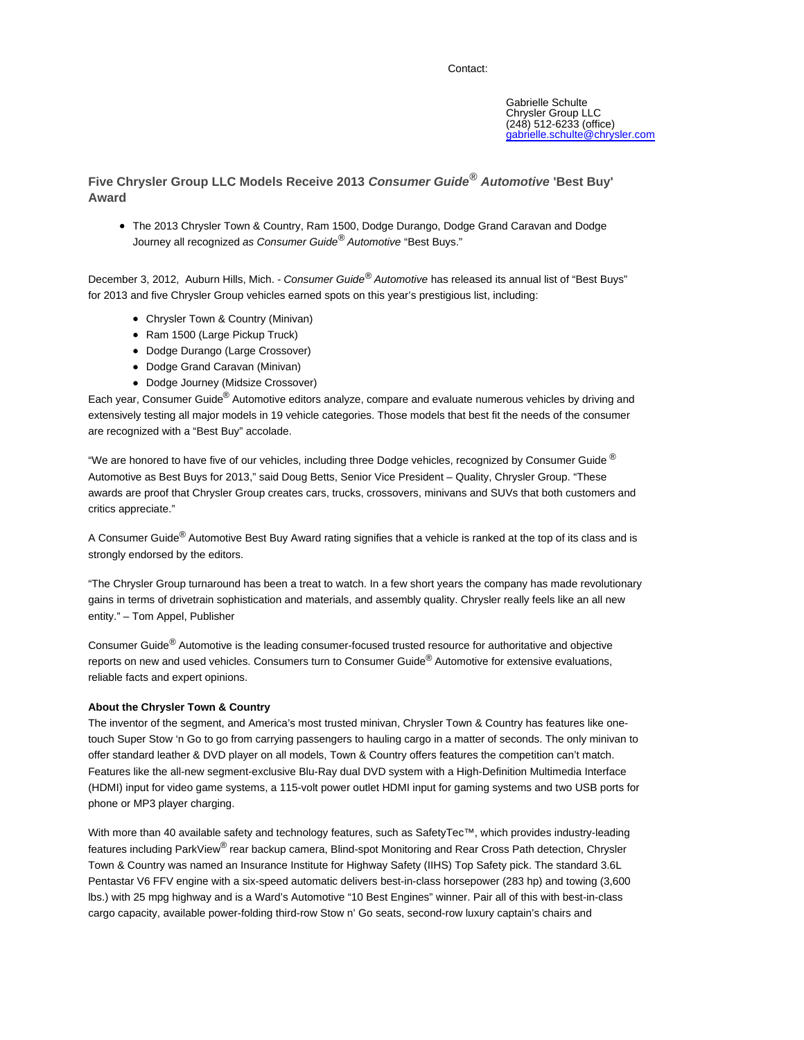## Contact:

**Five Chrysler Group LLC Models Receive 2013 Consumer Guide® Automotive 'Best Buy' Award**

The 2013 Chrysler Town & Country, Ram 1500, Dodge Durango, Dodge Grand Caravan and Dodge Journey all recognized as Consumer Guide® Automotive "Best Buys."

December 3, 2012, Auburn Hills, Mich. - Consumer Guide® Automotive has released its annual list of "Best Buys" for 2013 and five Chrysler Group vehicles earned spots on this year's prestigious list, including:

- Chrysler Town & Country (Minivan)
- Ram 1500 (Large Pickup Truck)
- Dodge Durango (Large Crossover)
- Dodge Grand Caravan (Minivan)
- Dodge Journey (Midsize Crossover)

Each year, Consumer Guide® Automotive editors analyze, compare and evaluate numerous vehicles by driving and extensively testing all major models in 19 vehicle categories. Those models that best fit the needs of the consumer are recognized with a "Best Buy" accolade.

"We are honored to have five of our vehicles, including three Dodge vehicles, recognized by Consumer Guide  $^{\circledR}$ Automotive as Best Buys for 2013," said Doug Betts, Senior Vice President – Quality, Chrysler Group. "These awards are proof that Chrysler Group creates cars, trucks, crossovers, minivans and SUVs that both customers and critics appreciate."

A Consumer Guide<sup>®</sup> Automotive Best Buy Award rating signifies that a vehicle is ranked at the top of its class and is strongly endorsed by the editors.

"The Chrysler Group turnaround has been a treat to watch. In a few short years the company has made revolutionary gains in terms of drivetrain sophistication and materials, and assembly quality. Chrysler really feels like an all new entity." – Tom Appel, Publisher

Consumer Guide<sup>®</sup> Automotive is the leading consumer-focused trusted resource for authoritative and objective reports on new and used vehicles. Consumers turn to Consumer Guide<sup>®</sup> Automotive for extensive evaluations, reliable facts and expert opinions.

# **About the Chrysler Town & Country**

The inventor of the segment, and America's most trusted minivan, Chrysler Town & Country has features like onetouch Super Stow 'n Go to go from carrying passengers to hauling cargo in a matter of seconds. The only minivan to offer standard leather & DVD player on all models, Town & Country offers features the competition can't match. Features like the all-new segment-exclusive Blu-Ray dual DVD system with a High-Definition Multimedia Interface (HDMI) input for video game systems, a 115-volt power outlet HDMI input for gaming systems and two USB ports for phone or MP3 player charging.

With more than 40 available safety and technology features, such as SafetyTec™, which provides industry-leading features including ParkView<sup>®</sup> rear backup camera, Blind-spot Monitoring and Rear Cross Path detection, Chrysler Town & Country was named an Insurance Institute for Highway Safety (IIHS) Top Safety pick. The standard 3.6L Pentastar V6 FFV engine with a six-speed automatic delivers best-in-class horsepower (283 hp) and towing (3,600 lbs.) with 25 mpg highway and is a Ward's Automotive "10 Best Engines" winner. Pair all of this with best-in-class cargo capacity, available power-folding third-row Stow n' Go seats, second-row luxury captain's chairs and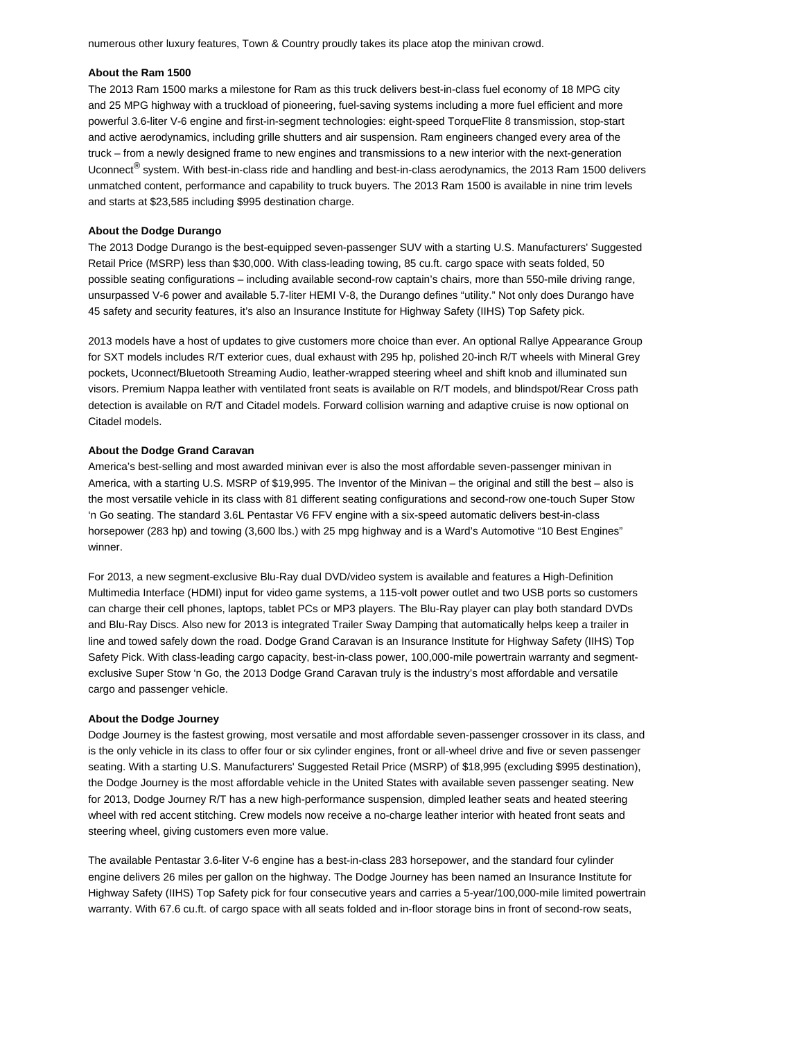numerous other luxury features, Town & Country proudly takes its place atop the minivan crowd.

## **About the Ram 1500**

The 2013 Ram 1500 marks a milestone for Ram as this truck delivers best-in-class fuel economy of 18 MPG city and 25 MPG highway with a truckload of pioneering, fuel-saving systems including a more fuel efficient and more powerful 3.6-liter V-6 engine and first-in-segment technologies: eight-speed TorqueFlite 8 transmission, stop-start and active aerodynamics, including grille shutters and air suspension. Ram engineers changed every area of the truck – from a newly designed frame to new engines and transmissions to a new interior with the next-generation Uconnect<sup>®</sup> system. With best-in-class ride and handling and best-in-class aerodynamics, the 2013 Ram 1500 delivers unmatched content, performance and capability to truck buyers. The 2013 Ram 1500 is available in nine trim levels and starts at \$23,585 including \$995 destination charge.

#### **About the Dodge Durango**

The 2013 Dodge Durango is the best-equipped seven-passenger SUV with a starting U.S. Manufacturers' Suggested Retail Price (MSRP) less than \$30,000. With class-leading towing, 85 cu.ft. cargo space with seats folded, 50 possible seating configurations – including available second-row captain's chairs, more than 550-mile driving range, unsurpassed V-6 power and available 5.7-liter HEMI V-8, the Durango defines "utility." Not only does Durango have 45 safety and security features, it's also an Insurance Institute for Highway Safety (IIHS) Top Safety pick.

2013 models have a host of updates to give customers more choice than ever. An optional Rallye Appearance Group for SXT models includes R/T exterior cues, dual exhaust with 295 hp, polished 20-inch R/T wheels with Mineral Grey pockets, Uconnect/Bluetooth Streaming Audio, leather-wrapped steering wheel and shift knob and illuminated sun visors. Premium Nappa leather with ventilated front seats is available on R/T models, and blindspot/Rear Cross path detection is available on R/T and Citadel models. Forward collision warning and adaptive cruise is now optional on Citadel models.

#### **About the Dodge Grand Caravan**

America's best-selling and most awarded minivan ever is also the most affordable seven-passenger minivan in America, with a starting U.S. MSRP of \$19,995. The Inventor of the Minivan – the original and still the best – also is the most versatile vehicle in its class with 81 different seating configurations and second-row one-touch Super Stow 'n Go seating. The standard 3.6L Pentastar V6 FFV engine with a six-speed automatic delivers best-in-class horsepower (283 hp) and towing (3,600 lbs.) with 25 mpg highway and is a Ward's Automotive "10 Best Engines" winner.

For 2013, a new segment-exclusive Blu-Ray dual DVD/video system is available and features a High-Definition Multimedia Interface (HDMI) input for video game systems, a 115-volt power outlet and two USB ports so customers can charge their cell phones, laptops, tablet PCs or MP3 players. The Blu-Ray player can play both standard DVDs and Blu-Ray Discs. Also new for 2013 is integrated Trailer Sway Damping that automatically helps keep a trailer in line and towed safely down the road. Dodge Grand Caravan is an Insurance Institute for Highway Safety (IIHS) Top Safety Pick. With class-leading cargo capacity, best-in-class power, 100,000-mile powertrain warranty and segmentexclusive Super Stow 'n Go, the 2013 Dodge Grand Caravan truly is the industry's most affordable and versatile cargo and passenger vehicle.

#### **About the Dodge Journey**

Dodge Journey is the fastest growing, most versatile and most affordable seven-passenger crossover in its class, and is the only vehicle in its class to offer four or six cylinder engines, front or all-wheel drive and five or seven passenger seating. With a starting U.S. Manufacturers' Suggested Retail Price (MSRP) of \$18,995 (excluding \$995 destination), the Dodge Journey is the most affordable vehicle in the United States with available seven passenger seating. New for 2013, Dodge Journey R/T has a new high-performance suspension, dimpled leather seats and heated steering wheel with red accent stitching. Crew models now receive a no-charge leather interior with heated front seats and steering wheel, giving customers even more value.

The available Pentastar 3.6-liter V-6 engine has a best-in-class 283 horsepower, and the standard four cylinder engine delivers 26 miles per gallon on the highway. The Dodge Journey has been named an Insurance Institute for Highway Safety (IIHS) Top Safety pick for four consecutive years and carries a 5-year/100,000-mile limited powertrain warranty. With 67.6 cu.ft. of cargo space with all seats folded and in-floor storage bins in front of second-row seats,